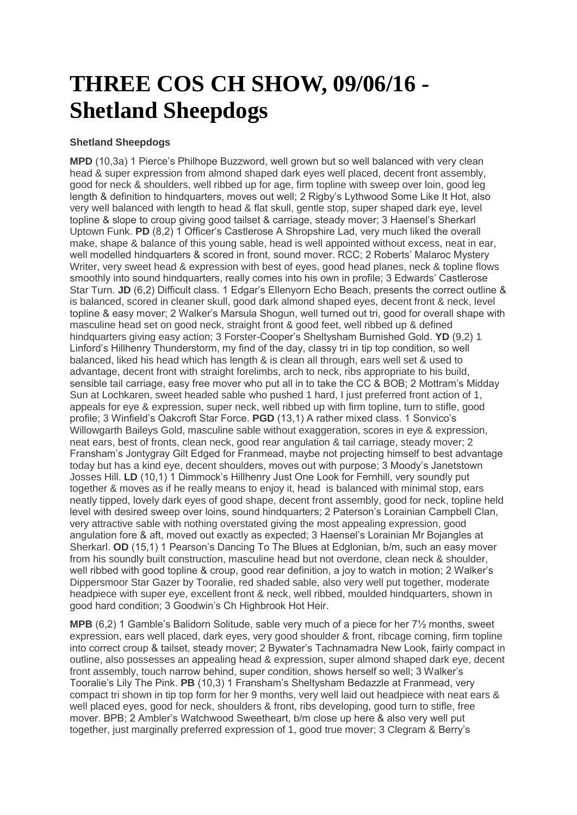## **THREE COS CH SHOW, 09/06/16 - Shetland Sheepdogs**

## **Shetland Sheepdogs**

**MPD** (10,3a) 1 Pierce's Philhope Buzzword, well grown but so well balanced with very clean head & super expression from almond shaped dark eyes well placed, decent front assembly, good for neck & shoulders, well ribbed up for age, firm topline with sweep over loin, good leg length & definition to hindquarters, moves out well; 2 Rigby's Lythwood Some Like It Hot, also very well balanced with length to head & flat skull, gentle stop, super shaped dark eye, level topline & slope to croup giving good tailset & carriage, steady mover; 3 Haensel's Sherkarl Uptown Funk. **PD** (8,2) 1 Officer's Castlerose A Shropshire Lad, very much liked the overall make, shape & balance of this young sable, head is well appointed without excess, neat in ear, well modelled hindquarters & scored in front, sound mover. RCC; 2 Roberts' Malaroc Mystery Writer, very sweet head & expression with best of eyes, good head planes, neck & topline flows smoothly into sound hindquarters, really comes into his own in profile; 3 Edwards' Castlerose Star Turn. **JD** (6,2) Difficult class. 1 Edgar's Ellenyorn Echo Beach, presents the correct outline & is balanced, scored in cleaner skull, good dark almond shaped eyes, decent front & neck, level topline & easy mover; 2 Walker's Marsula Shogun, well turned out tri, good for overall shape with masculine head set on good neck, straight front & good feet, well ribbed up & defined hindquarters giving easy action; 3 Forster-Cooper's Sheltysham Burnished Gold. **YD** (9,2) 1 Linford's Hillhenry Thunderstorm, my find of the day, classy tri in tip top condition, so well balanced, liked his head which has length & is clean all through, ears well set & used to advantage, decent front with straight forelimbs, arch to neck, ribs appropriate to his build, sensible tail carriage, easy free mover who put all in to take the CC & BOB; 2 Mottram's Midday Sun at Lochkaren, sweet headed sable who pushed 1 hard, I just preferred front action of 1, appeals for eye & expression, super neck, well ribbed up with firm topline, turn to stifle, good profile; 3 Winfield's Oakcroft Star Force. **PGD** (13,1) A rather mixed class. 1 Sonvico's Willowgarth Baileys Gold, masculine sable without exaggeration, scores in eye & expression, neat ears, best of fronts, clean neck, good rear angulation & tail carriage, steady mover; 2 Fransham's Jontygray Gilt Edged for Franmead, maybe not projecting himself to best advantage today but has a kind eye, decent shoulders, moves out with purpose; 3 Moody's Janetstown Josses Hill. **LD** (10,1) 1 Dimmock's Hillhenry Just One Look for Fernhill, very soundly put together & moves as if he really means to enjoy it, head is balanced with minimal stop, ears neatly tipped, lovely dark eyes of good shape, decent front assembly, good for neck, topline held level with desired sweep over loins, sound hindquarters; 2 Paterson's Lorainian Campbell Clan, very attractive sable with nothing overstated giving the most appealing expression, good angulation fore & aft, moved out exactly as expected; 3 Haensel's Lorainian Mr Bojangles at Sherkarl. **OD** (15,1) 1 Pearson's Dancing To The Blues at Edglonian, b/m, such an easy mover from his soundly built construction, masculine head but not overdone, clean neck & shoulder, well ribbed with good topline & croup, good rear definition, a joy to watch in motion; 2 Walker's Dippersmoor Star Gazer by Tooralie, red shaded sable, also very well put together, moderate headpiece with super eye, excellent front & neck, well ribbed, moulded hindquarters, shown in good hard condition; 3 Goodwin's Ch Highbrook Hot Heir.

**MPB** (6,2) 1 Gamble's Balidorn Solitude, sable very much of a piece for her 7½ months, sweet expression, ears well placed, dark eyes, very good shoulder & front, ribcage coming, firm topline into correct croup & tailset, steady mover; 2 Bywater's Tachnamadra New Look, fairly compact in outline, also possesses an appealing head & expression, super almond shaped dark eye, decent front assembly, touch narrow behind, super condition, shows herself so well; 3 Walker's Tooralie's Lily The Pink. **PB** (10,3) 1 Fransham's Sheltysham Bedazzle at Franmead, very compact tri shown in tip top form for her 9 months, very well laid out headpiece with neat ears & well placed eyes, good for neck, shoulders & front, ribs developing, good turn to stifle, free mover. BPB; 2 Ambler's Watchwood Sweetheart, b/m close up here & also very well put together, just marginally preferred expression of 1, good true mover; 3 Clegram & Berry's